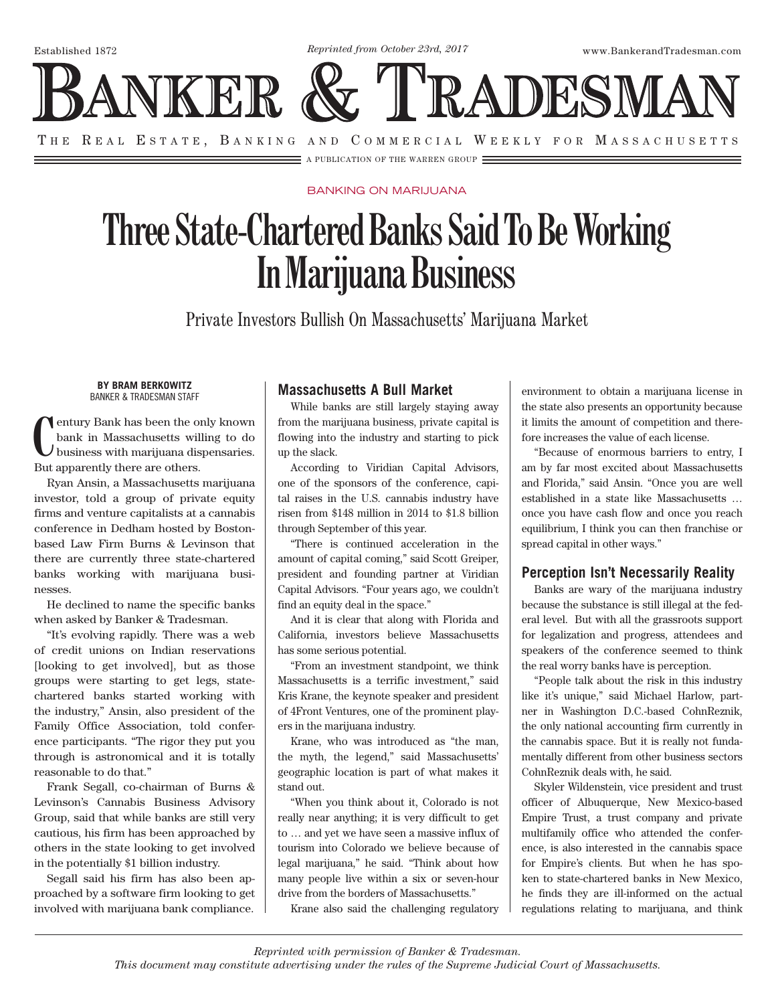*Reprinted from October 23rd, 2017*

Established 1872 www.BankerandTradesman.com



A PUBLICATION OF THE WARREN GROUP

#### BANKING ON MARIJUANA

# **Three State-Chartered Banks Said To Be Working In Marijuana Business**

Private Investors Bullish On Massachusetts' Marijuana Market

#### **BY BRAM BERKOWITZ**  BANKER & TRADESMAN STAFF

**C** entury Bank has been the only known bank in Massachusetts willing to do business with marijuana dispensaries. But apparently there are others.

Ryan Ansin, a Massachusetts marijuana investor, told a group of private equity firms and venture capitalists at a cannabis conference in Dedham hosted by Bostonbased Law Firm Burns & Levinson that there are currently three state-chartered banks working with marijuana businesses.

He declined to name the specific banks when asked by Banker & Tradesman.

"It's evolving rapidly. There was a web of credit unions on Indian reservations [looking to get involved], but as those groups were starting to get legs, statechartered banks started working with the industry," Ansin, also president of the Family Office Association, told conference participants. "The rigor they put you through is astronomical and it is totally reasonable to do that."

Frank Segall, co-chairman of Burns & Levinson's Cannabis Business Advisory Group, said that while banks are still very cautious, his firm has been approached by others in the state looking to get involved in the potentially \$1 billion industry.

Segall said his firm has also been approached by a software firm looking to get involved with marijuana bank compliance.

## **Massachusetts A Bull Market**

While banks are still largely staying away from the marijuana business, private capital is flowing into the industry and starting to pick up the slack.

According to Viridian Capital Advisors, one of the sponsors of the conference, capital raises in the U.S. cannabis industry have risen from \$148 million in 2014 to \$1.8 billion through September of this year.

"There is continued acceleration in the amount of capital coming," said Scott Greiper, president and founding partner at Viridian Capital Advisors. "Four years ago, we couldn't find an equity deal in the space."

And it is clear that along with Florida and California, investors believe Massachusetts has some serious potential.

"From an investment standpoint, we think Massachusetts is a terrific investment," said Kris Krane, the keynote speaker and president of 4Front Ventures, one of the prominent players in the marijuana industry.

Krane, who was introduced as "the man, the myth, the legend," said Massachusetts' geographic location is part of what makes it stand out.

"When you think about it, Colorado is not really near anything; it is very difficult to get to … and yet we have seen a massive influx of tourism into Colorado we believe because of legal marijuana," he said. "Think about how many people live within a six or seven-hour drive from the borders of Massachusetts."

Krane also said the challenging regulatory

environment to obtain a marijuana license in the state also presents an opportunity because it limits the amount of competition and therefore increases the value of each license.

"Because of enormous barriers to entry, I am by far most excited about Massachusetts and Florida," said Ansin. "Once you are well established in a state like Massachusetts … once you have cash flow and once you reach equilibrium, I think you can then franchise or spread capital in other ways."

### **Perception Isn't Necessarily Reality**

Banks are wary of the marijuana industry because the substance is still illegal at the federal level. But with all the grassroots support for legalization and progress, attendees and speakers of the conference seemed to think the real worry banks have is perception.

"People talk about the risk in this industry like it's unique," said Michael Harlow, partner in Washington D.C.-based CohnReznik, the only national accounting firm currently in the cannabis space. But it is really not fundamentally different from other business sectors CohnReznik deals with, he said.

Skyler Wildenstein, vice president and trust officer of Albuquerque, New Mexico-based Empire Trust, a trust company and private multifamily office who attended the conference, is also interested in the cannabis space for Empire's clients. But when he has spoken to state-chartered banks in New Mexico, he finds they are ill-informed on the actual regulations relating to marijuana, and think